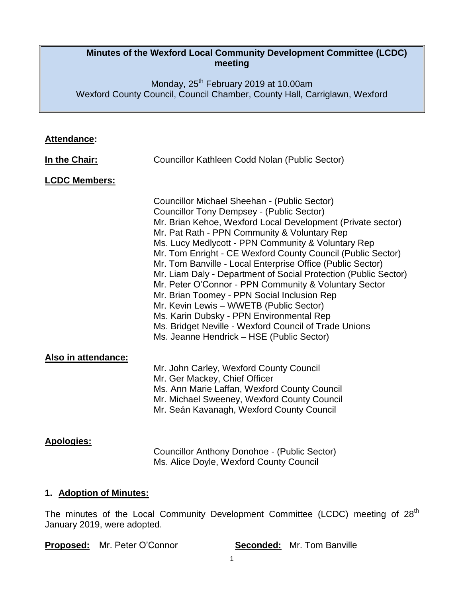#### **Minutes of the Wexford Local Community Development Committee (LCDC) meeting**

Monday, 25<sup>th</sup> February 2019 at 10.00am Wexford County Council, Council Chamber, County Hall, Carriglawn, Wexford

| <b>Attendance:</b>   |                                                                                                                                                                                                                                                                                                                                                                                                                                                                                                                                                                                                                                                                                                                                                                            |
|----------------------|----------------------------------------------------------------------------------------------------------------------------------------------------------------------------------------------------------------------------------------------------------------------------------------------------------------------------------------------------------------------------------------------------------------------------------------------------------------------------------------------------------------------------------------------------------------------------------------------------------------------------------------------------------------------------------------------------------------------------------------------------------------------------|
| In the Chair:        | Councillor Kathleen Codd Nolan (Public Sector)                                                                                                                                                                                                                                                                                                                                                                                                                                                                                                                                                                                                                                                                                                                             |
| <b>LCDC Members:</b> |                                                                                                                                                                                                                                                                                                                                                                                                                                                                                                                                                                                                                                                                                                                                                                            |
|                      | Councillor Michael Sheehan - (Public Sector)<br><b>Councillor Tony Dempsey - (Public Sector)</b><br>Mr. Brian Kehoe, Wexford Local Development (Private sector)<br>Mr. Pat Rath - PPN Community & Voluntary Rep<br>Ms. Lucy Medlycott - PPN Community & Voluntary Rep<br>Mr. Tom Enright - CE Wexford County Council (Public Sector)<br>Mr. Tom Banville - Local Enterprise Office (Public Sector)<br>Mr. Liam Daly - Department of Social Protection (Public Sector)<br>Mr. Peter O'Connor - PPN Community & Voluntary Sector<br>Mr. Brian Toomey - PPN Social Inclusion Rep<br>Mr. Kevin Lewis - WWETB (Public Sector)<br>Ms. Karin Dubsky - PPN Environmental Rep<br>Ms. Bridget Neville - Wexford Council of Trade Unions<br>Ms. Jeanne Hendrick - HSE (Public Sector) |
| Also in attendance:  | Mr. John Carley, Wexford County Council<br>Mr. Ger Mackey, Chief Officer<br>Ms. Ann Marie Laffan, Wexford County Council<br>Mr. Michael Sweeney, Wexford County Council<br>Mr. Seán Kavanagh, Wexford County Council                                                                                                                                                                                                                                                                                                                                                                                                                                                                                                                                                       |
| <b>Apologies:</b>    | Councillor Anthony Donohoe - (Public Sector)<br>Ms. Alice Doyle, Wexford County Council                                                                                                                                                                                                                                                                                                                                                                                                                                                                                                                                                                                                                                                                                    |

### **1. Adoption of Minutes:**

The minutes of the Local Community Development Committee (LCDC) meeting of 28<sup>th</sup> January 2019, were adopted.

**Proposed:** Mr. Peter O'Connor **Seconded:** Mr. Tom Banville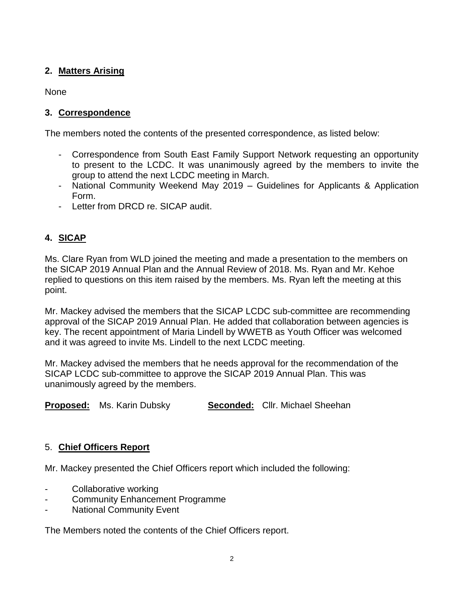### **2. Matters Arising**

None

### **3. Correspondence**

The members noted the contents of the presented correspondence, as listed below:

- Correspondence from South East Family Support Network requesting an opportunity to present to the LCDC. It was unanimously agreed by the members to invite the group to attend the next LCDC meeting in March.
- National Community Weekend May 2019 Guidelines for Applicants & Application Form.
- Letter from DRCD re. SICAP audit.

# **4. SICAP**

Ms. Clare Ryan from WLD joined the meeting and made a presentation to the members on the SICAP 2019 Annual Plan and the Annual Review of 2018. Ms. Ryan and Mr. Kehoe replied to questions on this item raised by the members. Ms. Ryan left the meeting at this point.

Mr. Mackey advised the members that the SICAP LCDC sub-committee are recommending approval of the SICAP 2019 Annual Plan. He added that collaboration between agencies is key. The recent appointment of Maria Lindell by WWETB as Youth Officer was welcomed and it was agreed to invite Ms. Lindell to the next LCDC meeting.

Mr. Mackey advised the members that he needs approval for the recommendation of the SICAP LCDC sub-committee to approve the SICAP 2019 Annual Plan. This was unanimously agreed by the members.

**Proposed:** Ms. Karin Dubsky **Seconded:** Cllr. Michael Sheehan

### 5. **Chief Officers Report**

Mr. Mackey presented the Chief Officers report which included the following:

- Collaborative working
- Community Enhancement Programme
- **National Community Event**

The Members noted the contents of the Chief Officers report.